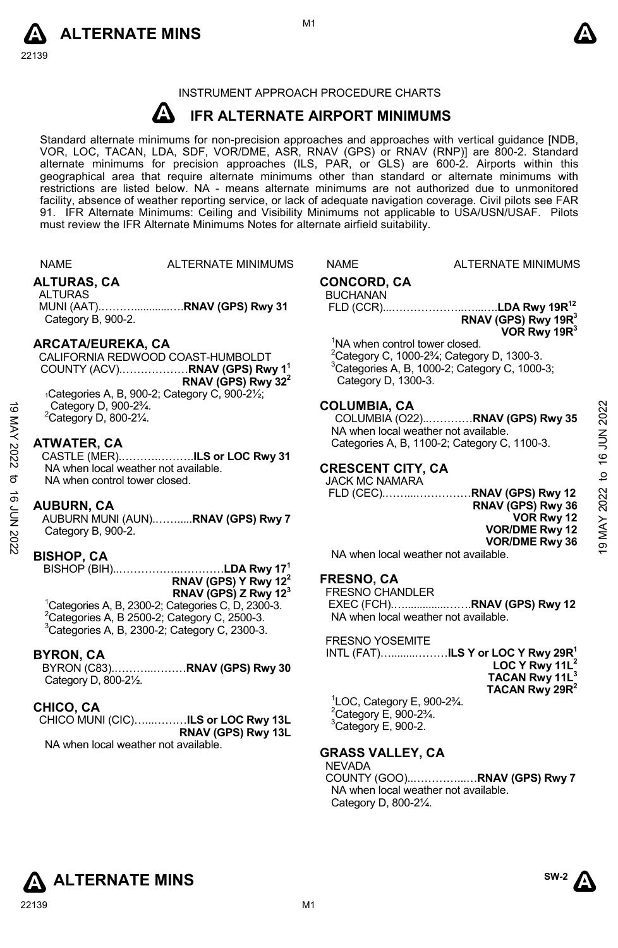



# INSTRUMENT APPROACH PROCEDURE CHARTS

#### **A IFR ALTERNATE AIRPORT MINIMUMS**

Standard alternate minimums for non-precision approaches and approaches with vertical guidance [NDB,<br>VOR, LOC, TACAN, LDA, SDF, VOR/DME, ASR, RNAV (GPS) or RNAV (RNP)] are 800-2. Standard<br>alternate minimums for precision a geographical area that require alternate minimums other than standard or alternate minimums with restrictions are listed below. NA - means alternate minimums are not authorized due to unmonitored facility, absence of weather reporting service, or lack of adequate navigation coverage. Civil pilots see FAR 91. IFR Alternate Minimums: Ceiling and Visibility Minimums not applicable to USA/USN/USAF. Pilots must review the IFR Alternate Minimums Notes for alternate airfield suitability.

| NAME       |  | <b>ALTE</b> |
|------------|--|-------------|
| ALTURAC CA |  |             |

RNATE MINIMUMS NAME ALTERNATE MINIMUMS

# **ALTURAS, CA**

ALTURAS MUNI (AAT).………............….**RNAV (GPS) Rwy 31**  Category B, 900-2.

# **ARCATA/EUREKA, CA**

CALIFORNIA REDWOOD COAST-HUMBOLDT COUNTY (ACV).………………**RNAV (GPS) Rwy 11 RNAV (GPS) Rwy 322**  $1C$ ategories A, B, 900-2; Category C, 900-2 $\frac{1}{2}$ ; Category D, 900-2¾.

 $2$ Category D, 800-2 $\frac{1}{4}$ .

# **ATWATER, CA**

CASTLE (MER).……….……….**ILS or LOC Rwy 31** NA when local weather not available. NA when control tower closed. 19 MAY 2022 to 16 JUN 202219 MAY 2022 to 16 JUN 2022

## **AUBURN, CA**

AUBURN MUNI (AUN).…….....**RNAV (GPS) Rwy 7**  Category B, 900-2.

# **BISHOP, CA**

BISHOP (BIH)..……………..…………**LDA Rwy 171 RNAV (GPS) Y Rwy 122 RNAV (GPS) Z Rwy 123**

# 1 Categories A, B, 2300-2; Categories C, D, 2300-3.  $2$ Categories A, B 2500-2; Category C, 2500-3.

3 Categories A, B, 2300-2; Category C, 2300-3.

# **BYRON, CA**

BYRON (C83).………..………**RNAV (GPS) Rwy 30**  Category D, 800-2½.

# **CHICO, CA**

CHICO MUNI (CIC)…...………**ILS or LOC Rwy 13L RNAV (GPS) Rwy 13L** 

NA when local weather not available.

# **CONCORD, CA**

**BUCHANAN** 

 FLD (CCR)...………………..…...….**LDA Rwy 19R12 RNAV (GPS) Rwy 19R3 VOR Rwy 19R3** 

<sup>1</sup>NA when control tower closed.

 $2^2$ Category C, 1000-2 $\frac{3}{4}$ ; Category D, 1300-3. 3 Categories A, B, 1000-2; Category C, 1000-3; Category D, 1300-3.

# **COLUMBIA, CA**

COLUMBIA (O22)..…………**RNAV (GPS) Rwy 35**  NA when local weather not available. Categories A, B, 1100-2; Category C, 1100-3.

# **CRESCENT CITY, CA**

JACK MC NAMARA

 FLD (CEC).……...……………**RNAV (GPS) Rwy 12 RNAV (GPS) Rwy 36 VOR Rwy 12 VOR/DME Rwy 12 VOR/DME Rwy 36** 

NA when local weather not available.

# **FRESNO, CA**

FRESNO CHANDLER

 EXEC (FCH).…..............…….**RNAV (GPS) Rwy 12** NA when local weather not available.

FRESNO YOSEMITE

|        |                     | INTL (FAT)……………… <b>.ILS Y or LOC Y Rwy 29R<sup>1</sup></b> |
|--------|---------------------|-------------------------------------------------------------|
|        |                     | LOC Y Rwy $11L^2$                                           |
|        |                     | TACAN Rwy 11L <sup>3</sup>                                  |
|        |                     | TACAN Rwy 29R <sup>2</sup>                                  |
| 1.0000 | $-$ 000.00 $\prime$ |                                                             |

1 LOC, Category E, 900-2¾.  $2$ Category E, 900-2 $\frac{3}{4}$ .  ${}^{3}$ Category E, 900-2.

# **GRASS VALLEY, CA**

NEVADA COUNTY (GOO)..…………...…**RNAV (GPS) Rwy 7**  NA when local weather not available. Category D, 800-2¼.



**SW-2**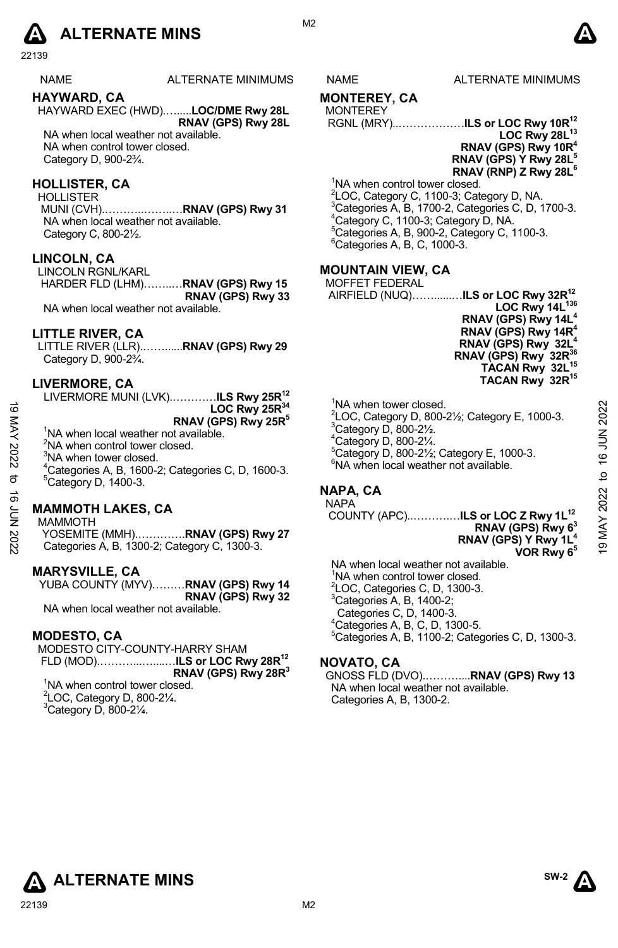# **A** ALTERNATE MINS  $\qquad \qquad \blacksquare$

22139

NAME ALTERNATE MINIMUMS NAME ALTERNATE MINIMUMS **HAYWARD, CA** 

HAYWARD EXEC (HWD).….....**LOC/DME Rwy 28L RNAV (GPS) Rwy 28L**  NA when local weather not available. NA when control tower closed.

Category D, 900-2¾.

# **HOLLISTER, CA**

**HOLLISTER** 

 MUNI (CVH).………..……..…**RNAV (GPS) Rwy 31**  NA when local weather not available. Category C, 800-2½.

# **LINCOLN, CA**

LINCOLN RGNL/KARL HARDER FLD (LHM)……..…**RNAV (GPS) Rwy 15 RNAV (GPS) Rwy 33** 

NA when local weather not available.

# **LITTLE RIVER, CA**

LITTLE RIVER (LLR).……......**RNAV (GPS) Rwy 29** Category D, 900-2¾.

# **LIVERMORE, CA**

LIVERMORE MUNI (LVK).…………**ILS Rwy 25R12 LOC Rwy 25R34 RNAV (GPS) Rwy 25R5** 

<sup>1</sup>NA when local weather not available.

<sup>2</sup>NA when control tower closed.

<sup>3</sup>NA when tower closed.

 $^{4}$ Categories A, B, 1600-2; Categories C, D, 1600-3. Category D, 1400-3.

# **MAMMOTH LAKES, CA**

#### MAMMOTH

YOSEMITE (MMH).………….**RNAV (GPS) Rwy 27**  Categories A, B, 1300-2; Category C, 1300-3.

## **MARYSVILLE, CA**

YUBA COUNTY (MYV)………**RNAV (GPS) Rwy 14 RNAV (GPS) Rwy 32**  NA when local weather not available.

## **MODESTO, CA**

MODESTO CITY-COUNTY-HARRY SHAM FLD (MOD).………...…....…**ILS or LOC Rwy 28R12 RNAV (GPS) Rwy 28R3**  <sup>1</sup>NA when control tower closed.  $2$ LOC, Category D, 800-2 $\frac{1}{4}$ .  $3$ Category D, 800-21⁄4.

# **MONTEREY, CA**

#### MONTEREY

RGNL (MRY)..………………**ILS or LOC Rwy 10R12 LOC Rwy 28L13 RNAV (GPS) Rwy 10R4 RNAV (GPS) Y Rwy 28L5 RNAV (RNP) Z Rwy 28L** 

<sup>1</sup>NA when control tower closed. <sup>2</sup>LOC, Category C, 1100-3; Category D, NA.  $^{3}$ Categories A, B, 1700-2, Categories C, D, 1700-3. <sup>4</sup>Category C, 1100-3; Category D, NA.  ${}^5$ Categories A, B, 900-2, Category C, 1100-3.  $6Categories A, B, C, 1000-3.$ 

# **MOUNTAIN VIEW, CA**

| חס היום יום יום שטח   |                                                |
|-----------------------|------------------------------------------------|
| <b>MOFFET FEDERAL</b> |                                                |
|                       | AIRFIELD (NUQ)ILS or LOC Rwy 32R <sup>12</sup> |
|                       | LOC Rwy 14L <sup>136</sup>                     |
|                       | RNAV (GPS) Rwy 14L <sup>4</sup>                |
|                       | RNAV (GPS) Rwy 14R <sup>4</sup>                |
|                       | $- - - 4$<br>-----------                       |

**RNAV (GPS) Rwy 14R4 RNAV (GPS) Rwy 32L4 RNAV (GPS) Rwy 32R36 TACAN Rwy 32L15 TACAN Rwy 32R15** 

<sup>1</sup>NA when tower closed.  $^{2}$ LOC, Category D, 800-21⁄<sub>2</sub>; Category E, 1000-3. Category D, 800-2½.  $4$ Category D, 800-2 $\frac{1}{4}$ . 5 Category D, 800-2½; Category E, 1000-3. 6 NA when local weather not available. 19  $\frac{1}{2}$ <br>
19  $\frac{1}{2}$ <br>
19  $\frac{1}{2}$ <br>
19 AW then local weather not available.<br>
<sup>2</sup>NA when control tower closed.<br>
<sup>2</sup>NA when control tower closed.<br>
<sup>2</sup>NA when control tower closed.<br>
<sup>2</sup>NA when control tower closed.<br>

# **NAPA, CA**

NAPA COUNTY (APC)..……….…**ILS or LOC Z Rwy 1L12**

# **RNAV (GPS) Rwy 63 RNAV (GPS) Y Rwy 1L4**

**VOR Rwy 65** NA when local weather not available. <sup>1</sup>NA when control tower closed.  ${}^{2}$ LOC, Categories C, D, 1300-3. 3 Categories A, B, 1400-2; Categories C, D, 1400-3. 4 Categories A, B, C, D, 1300-5. 5 Categories A, B, 1100-2; Categories C, D, 1300-3.

# **NOVATO, CA**

GNOSS FLD (DVO).………....**RNAV (GPS) Rwy 13**  NA when local weather not available. Categories A, B, 1300-2.

**ALTERNATE MINS**  $\sum_{n=1}^{\text{SW-2}}$ 

**SW-2** 

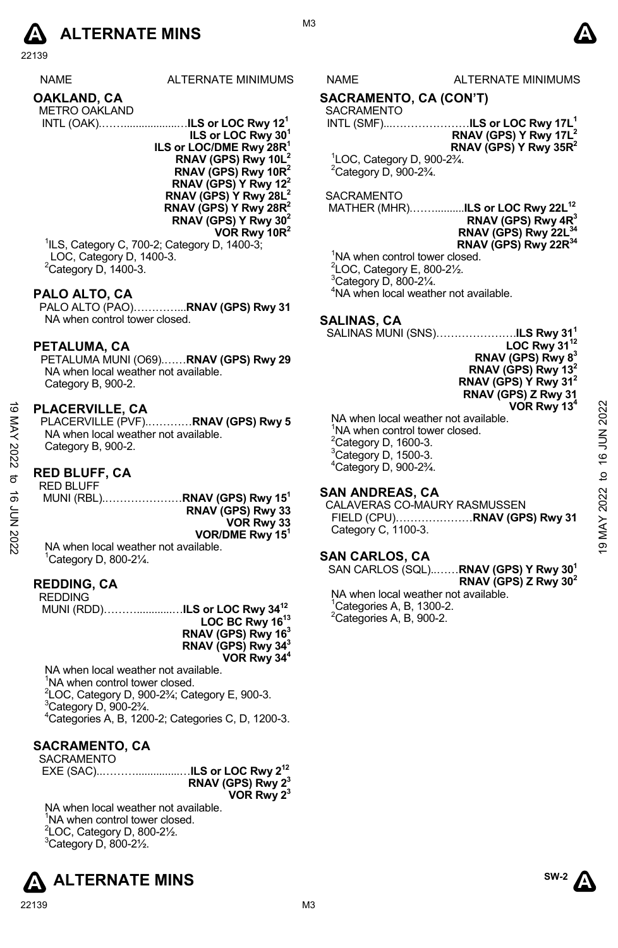

22139

| <b>NAME</b>          | <b>ALTERNATE MINIM</b> |
|----------------------|------------------------|
| OAKLAND, CA          |                        |
| <b>METRO OAKLAND</b> |                        |

 INTL (OAK).……..................…**ILS or LOC Rwy 121 ILS or LOC Rwy 301 ILS or LOC/DME Rwy 28R1 RNAV (GPS) Rwy 10L RNAV (GPS) Rwy 10R2 RNAV (GPS) Y Rwy 122 RNAV (GPS) Y Rwy 28L2 RNAV (GPS) Y Rwy 28R2 RNAV (GPS) Y Rwy 302 VOR Rwy 10R2** 

1 ILS, Category C, 700-2; Category D, 1400-3; LOC, Category D, 1400-3.  $2$ Category D, 1400-3.

# **PALO ALTO, CA**

PALO ALTO (PAO)…………...**RNAV (GPS) Rwy 31**  NA when control tower closed.

#### **PETALUMA, CA**

PETALUMA MUNI (O69).……**RNAV (GPS) Rwy 29**  NA when local weather not available. Category B, 900-2.

## **PLACERVILLE, CA**

#### **RED BLUFF, CA**

| ಹ      | <b>PLACERVILLE, CA</b>                   | VOR Rwy 13 <sup>4</sup>                |              |
|--------|------------------------------------------|----------------------------------------|--------------|
|        | PLACERVILLE (PVF)RNAV (GPS) Rwy 5        | NA when local weather not available.   | 2022         |
| KAY    | NA when local weather not available.     | 'NA when control tower closed.         | $\leq$       |
|        | Category B, 900-2.                       | $2$ Category D, 1600-3.                |              |
| 2022   |                                          | $3$ Category D, 1500-3.                | <u>َ م</u>   |
|        |                                          | $^{4}$ Category D, 900-2 $^{3}/_{4}$ . |              |
| ನ      | <b>RED BLUFF, CA</b>                     |                                        | $\mathsf{d}$ |
|        | <b>RED BLUFF</b>                         | <b>SAN ANDREAS, CA</b>                 |              |
| ಕ      | MUNI (RBL)RNAV (GPS) Rwy 15 <sup>1</sup> |                                        | 2022         |
|        | RNAV (GPS) Rwy 33                        | CALAVERAS CO-MAURY RASMUSSEN           |              |
| ξ<br>Σ | VOR Rwy 33                               |                                        |              |
|        | VOR/DME Rwy 15 <sup>1</sup>              | Category C, 1100-3.                    | MAY          |
| 2022   | NA when local weather not available.     |                                        | ë            |
|        | 'Category D, 800-21/4.                   | <b>SAN CARLOS, CA</b>                  |              |
|        |                                          |                                        |              |

## **REDDING, CA**

| <b>REDDING</b> |                                           |
|----------------|-------------------------------------------|
|                | MUNI (RDD)ILS or LOC Rwy 34 <sup>12</sup> |
|                | LOC BC Rwy 16 <sup>13</sup>               |
|                | RNAV (GPS) Rwy 16 $3$                     |

**RNAV (GPS) Rwy 343 VOR Rwy 344**

NA when local weather not available.

<sup>1</sup>NA when control tower closed.

 ${}^{2}$ LOC, Category D, 900-2<sup>3</sup>⁄<sub>4</sub>; Category E, 900-3.  ${}^{3}$ Category D, 900-2 $\frac{3}{4}$ .

4 Categories A, B, 1200-2; Categories C, D, 1200-3.

# **SACRAMENTO, CA**

| SACRAMENTO |                               |
|------------|-------------------------------|
|            |                               |
|            | RNAV (GPS) Rwy 2 <sup>3</sup> |
|            | VOR Rwy 2 <sup>3</sup>        |

NA when local weather not available. <sup>1</sup>NA when control tower closed.  $2$ LOC, Category D, 800-2 $\frac{1}{2}$ .  $3$ Category D, 800-2 $\frac{1}{2}$ .





#### ILIMS NAME ALTERNATE MINIMUMS

#### **SACRAMENTO, CA (CON'T)**

SACRAMENTO INTL (SMF)...…………………**ILS or LOC Rwy 17L1** 

**RNAV (GPS) Y Rwy 17L2 RNAV (GPS) Y Rwy 35R2**

1 LOC, Category D, 900-2¾.  $2$ Category D, 900-2 $\frac{3}{4}$ .

#### SACRAMENTO

 MATHER (MHR).……..........**ILS or LOC Rwy 22L12 RNAV (GPS) Rwy 4R3 RNAV (GPS) Rwy 22L34 RNAV (GPS) Rwy 22R34** 

<sup>1</sup>NA when control tower closed. LOC, Category E, 800-2 $\frac{1}{2}$ . Category D, 800-2 $\frac{1}{4}$ . NA when local weather not available.

# **SALINAS, CA**

SALINAS MUNI (SNS)………………….**ILS Rwy 311**

**LOC Rwy 3112 RNAV (GPS) Rwy 83 RNAV (GPS) Rwy 132 RNAV (GPS) Y Rwy 312 RNAV (GPS) Z Rwy 31 VOR Rwy 134**

#### **SAN ANDREAS, CA**

## **SAN CARLOS, CA**

SAN CARLOS (SQL)..……**RNAV (GPS) Y Rwy 301 RNAV (GPS) Z Rwy 302** 

NA when local weather not available. <sup>1</sup>Categories A, B, 1300-2.  ${}^{2}$ Categories A, B, 900-2.